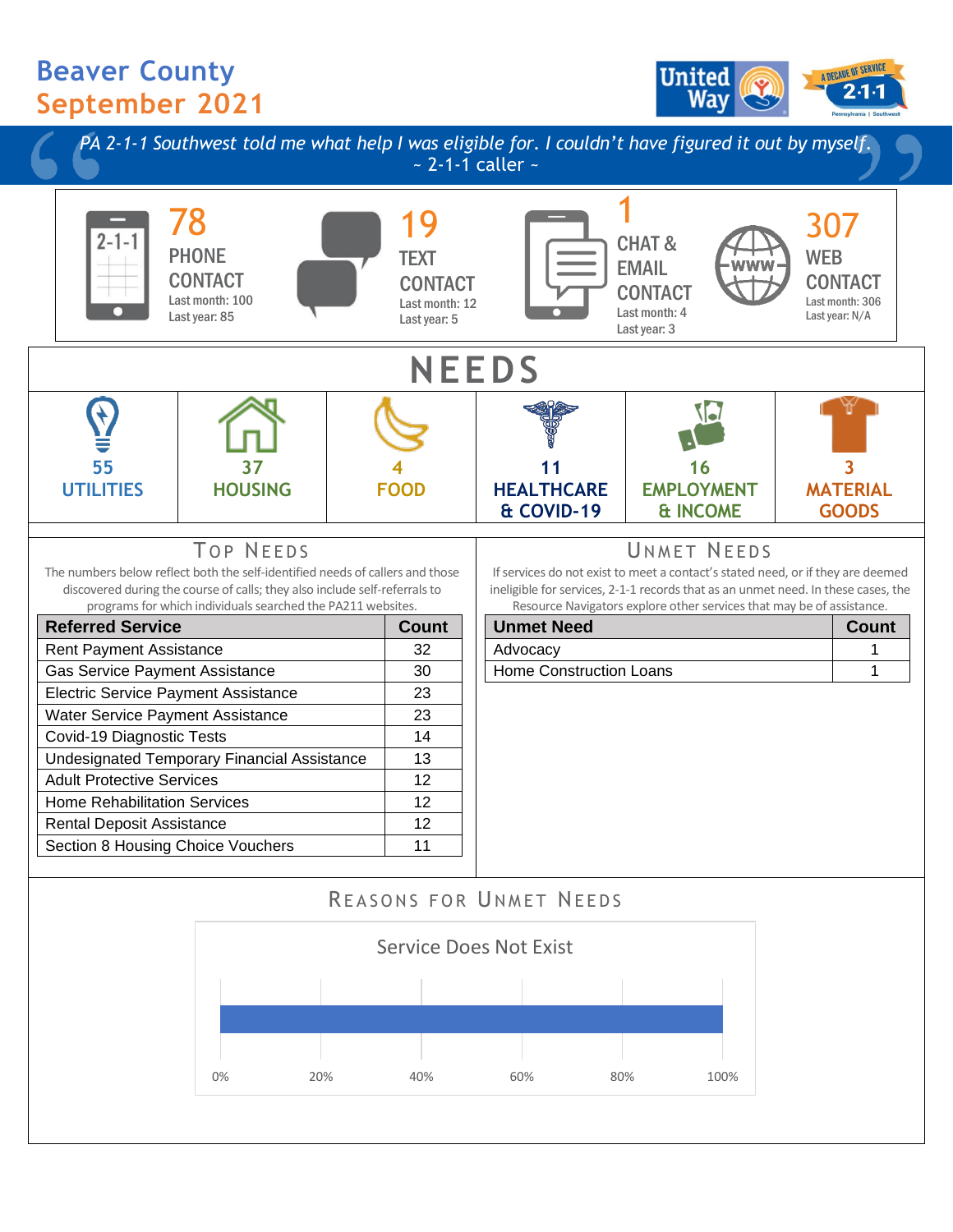## **Beaver County September 2021**